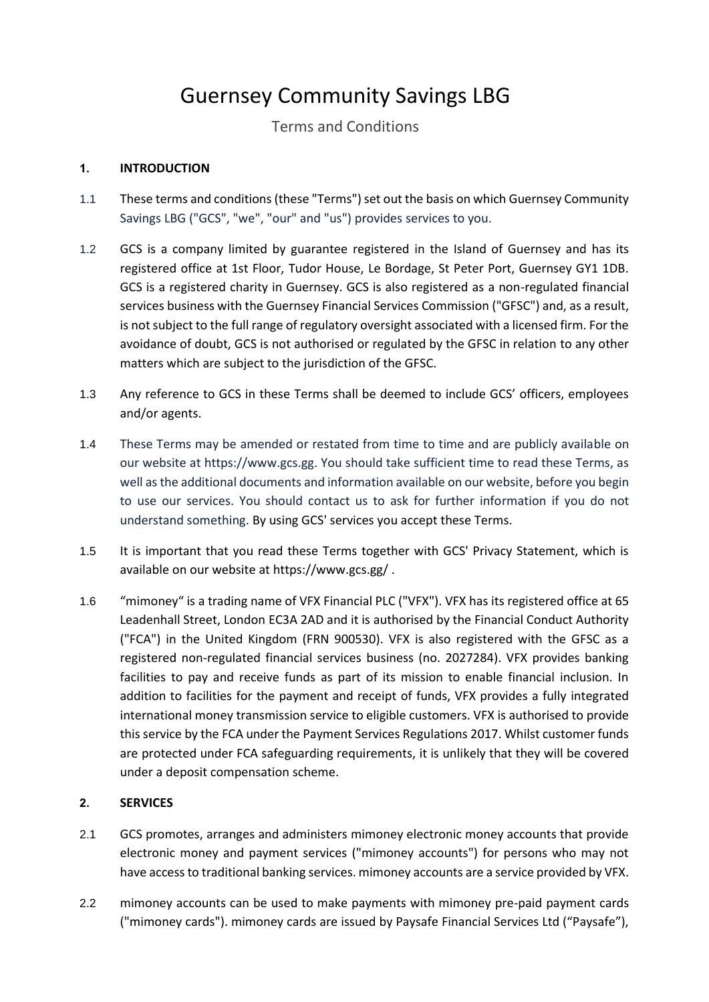# Guernsey Community Savings LBG

# Terms and Conditions

## **1. INTRODUCTION**

- 1.1 These terms and conditions (these "Terms") set out the basis on which Guernsey Community Savings LBG ("GCS", "we", "our" and "us") provides services to you.
- 1.2 GCS is a company limited by guarantee registered in the Island of Guernsey and has its registered office at 1st Floor, Tudor House, Le Bordage, St Peter Port, Guernsey GY1 1DB. GCS is a registered charity in Guernsey. GCS is also registered as a non-regulated financial services business with the Guernsey Financial Services Commission ("GFSC") and, as a result, is not subject to the full range of regulatory oversight associated with a licensed firm. For the avoidance of doubt, GCS is not authorised or regulated by the GFSC in relation to any other matters which are subject to the jurisdiction of the GFSC.
- 1.3 Any reference to GCS in these Terms shall be deemed to include GCS' officers, employees and/or agents.
- 1.4 These Terms may be amended or restated from time to time and are publicly available on our website at https://www.gcs.gg. You should take sufficient time to read these Terms, as well as the additional documents and information available on our website, before you begin to use our services. You should contact us to ask for further information if you do not understand something. By using GCS' services you accept these Terms.
- 1.5 It is important that you read these Terms together with GCS' Privacy Statement, which is available on our website at https://www.gcs.gg/ .
- 1.6 "mimoney" is a trading name of VFX Financial PLC ("VFX"). VFX has its registered office at 65 Leadenhall Street, London EC3A 2AD and it is authorised by the Financial Conduct Authority ("FCA") in the United Kingdom (FRN 900530). VFX is also registered with the GFSC as a registered non-regulated financial services business (no. 2027284). VFX provides banking facilities to pay and receive funds as part of its mission to enable financial inclusion. In addition to facilities for the payment and receipt of funds, VFX provides a fully integrated international money transmission service to eligible customers. VFX is authorised to provide this service by the FCA under the Payment Services Regulations 2017. Whilst customer funds are protected under FCA safeguarding requirements, it is unlikely that they will be covered under a deposit compensation scheme.

#### **2. SERVICES**

- 2.1 GCS promotes, arranges and administers mimoney electronic money accounts that provide electronic money and payment services ("mimoney accounts") for persons who may not have access to traditional banking services. mimoney accounts are a service provided by VFX.
- 2.2 mimoney accounts can be used to make payments with mimoney pre-paid payment cards ("mimoney cards"). mimoney cards are issued by Paysafe Financial Services Ltd ("Paysafe"),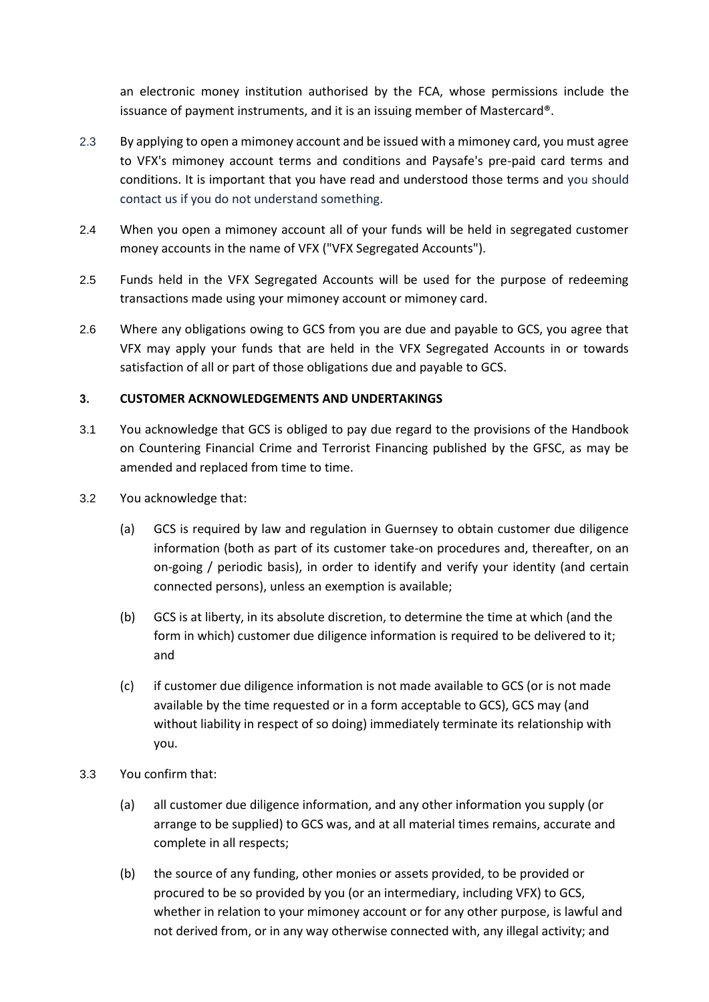an electronic money institution authorised by the FCA, whose permissions include the issuance of payment instruments, and it is an issuing member of Mastercard®.

- 2.3 By applying to open a mimoney account and be issued with a mimoney card, you must agree to VFX's mimoney account terms and conditions and Paysafe's pre-paid card terms and conditions. It is important that you have read and understood those terms and you should contact us if you do not understand something.
- 2.4 When you open a mimoney account all of your funds will be held in segregated customer money accounts in the name of VFX ("VFX Segregated Accounts").
- 2.5 Funds held in the VFX Segregated Accounts will be used for the purpose of redeeming transactions made using your mimoney account or mimoney card.
- 2.6 Where any obligations owing to GCS from you are due and payable to GCS, you agree that VFX may apply your funds that are held in the VFX Segregated Accounts in or towards satisfaction of all or part of those obligations due and payable to GCS.

#### **3. CUSTOMER ACKNOWLEDGEMENTS AND UNDERTAKINGS**

- 3.1 You acknowledge that GCS is obliged to pay due regard to the provisions of the Handbook on Countering Financial Crime and Terrorist Financing published by the GFSC, as may be amended and replaced from time to time.
- 3.2 You acknowledge that:
	- (a) GCS is required by law and regulation in Guernsey to obtain customer due diligence information (both as part of its customer take-on procedures and, thereafter, on an on-going / periodic basis), in order to identify and verify your identity (and certain connected persons), unless an exemption is available;
	- (b) GCS is at liberty, in its absolute discretion, to determine the time at which (and the form in which) customer due diligence information is required to be delivered to it; and
	- (c) if customer due diligence information is not made available to GCS (or is not made available by the time requested or in a form acceptable to GCS), GCS may (and without liability in respect of so doing) immediately terminate its relationship with you.
- 3.3 You confirm that:
	- (a) all customer due diligence information, and any other information you supply (or arrange to be supplied) to GCS was, and at all material times remains, accurate and complete in all respects;
	- (b) the source of any funding, other monies or assets provided, to be provided or procured to be so provided by you (or an intermediary, including VFX) to GCS, whether in relation to your mimoney account or for any other purpose, is lawful and not derived from, or in any way otherwise connected with, any illegal activity; and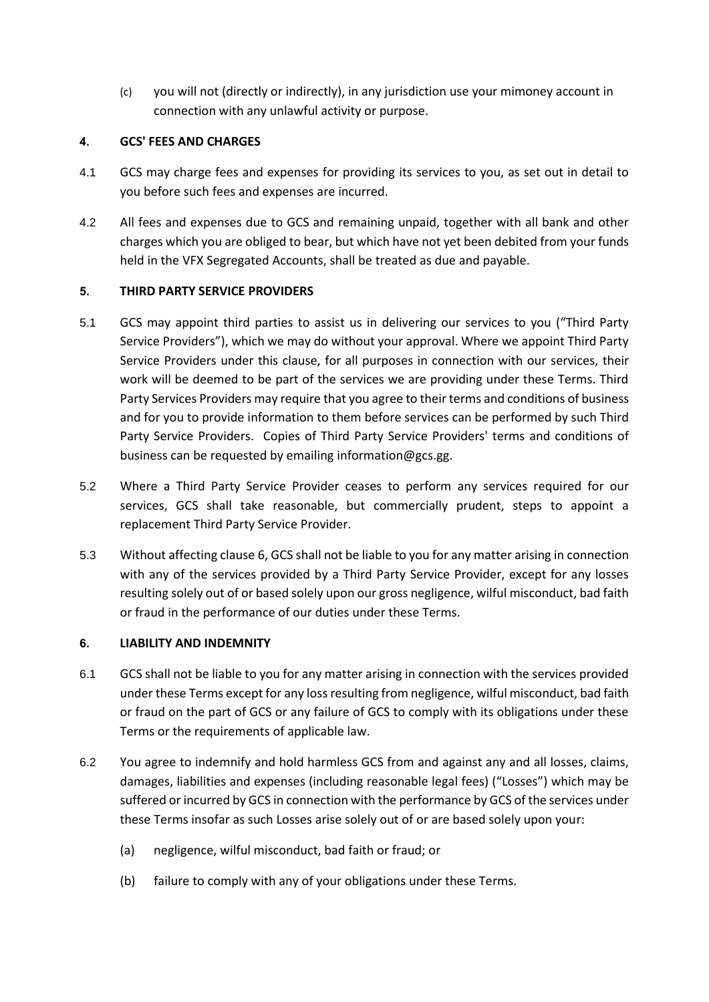(c) you will not (directly or indirectly), in any jurisdiction use your mimoney account in connection with any unlawful activity or purpose.

#### **4. GCS' FEES AND CHARGES**

- 4.1 GCS may charge fees and expenses for providing its services to you, as set out in detail to you before such fees and expenses are incurred.
- 4.2 All fees and expenses due to GCS and remaining unpaid, together with all bank and other charges which you are obliged to bear, but which have not yet been debited from your funds held in the VFX Segregated Accounts, shall be treated as due and payable.

#### **5. THIRD PARTY SERVICE PROVIDERS**

- 5.1 GCS may appoint third parties to assist us in delivering our services to you ("Third Party Service Providers"), which we may do without your approval. Where we appoint Third Party Service Providers under this clause, for all purposes in connection with our services, their work will be deemed to be part of the services we are providing under these Terms. Third Party Services Providers may require that you agree to their terms and conditions of business and for you to provide information to them before services can be performed by such Third Party Service Providers. Copies of Third Party Service Providers' terms and conditions of business can be requested by emailing information@gcs.gg.
- 5.2 Where a Third Party Service Provider ceases to perform any services required for our services, GCS shall take reasonable, but commercially prudent, steps to appoint a replacement Third Party Service Provider.
- 5.3 Without affecting clause [6,](#page-2-0) GCS shall not be liable to you for any matter arising in connection with any of the services provided by a Third Party Service Provider, except for any losses resulting solely out of or based solely upon our gross negligence, wilful misconduct, bad faith or fraud in the performance of our duties under these Terms.

## <span id="page-2-0"></span>**6. LIABILITY AND INDEMNITY**

- 6.1 GCS shall not be liable to you for any matter arising in connection with the services provided under these Terms except for any loss resulting from negligence, wilful misconduct, bad faith or fraud on the part of GCS or any failure of GCS to comply with its obligations under these Terms or the requirements of applicable law.
- 6.2 You agree to indemnify and hold harmless GCS from and against any and all losses, claims, damages, liabilities and expenses (including reasonable legal fees) ("Losses") which may be suffered or incurred by GCS in connection with the performance by GCS of the services under these Terms insofar as such Losses arise solely out of or are based solely upon your:
	- (a) negligence, wilful misconduct, bad faith or fraud; or
	- (b) failure to comply with any of your obligations under these Terms.